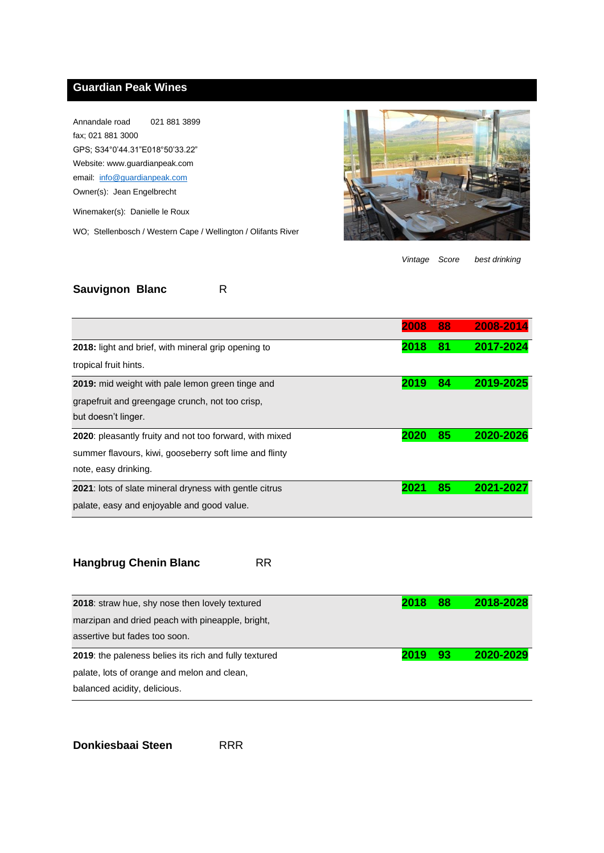## **Guardian Peak Wines**

Annandale road 021 881 3899 fax; 021 881 3000 GPS; S34°0'44.31"E018°50'33.22" Website: www.guardianpeak.com email: [info@guardianpeak.com](mailto:info@guardianpeak.com) Owner(s): Jean Engelbrecht

Winemaker(s): Danielle le Roux

WO; Stellenbosch / Western Cape / Wellington / Olifants River



*Vintage Score best drinking*

## **Sauvignon Blanc** R

|                                                                 | 2008 | 88 | 2008-2014 |
|-----------------------------------------------------------------|------|----|-----------|
| 2018: light and brief, with mineral grip opening to             | 2018 | 81 | 2017-2024 |
| tropical fruit hints.                                           |      |    |           |
| 2019: mid weight with pale lemon green tinge and                | 2019 | 84 | 2019-2025 |
| grapefruit and greengage crunch, not too crisp,                 |      |    |           |
| but doesn't linger.                                             |      |    |           |
| <b>2020</b> : pleasantly fruity and not too forward, with mixed |      | 85 | 2020-2026 |
| summer flavours, kiwi, gooseberry soft lime and flinty          |      |    |           |
| note, easy drinking.                                            |      |    |           |
| 2021: lots of slate mineral dryness with gentle citrus          | 2021 | 85 | 2021-2027 |
| palate, easy and enjoyable and good value.                      |      |    |           |

| <b>Hangbrug Chenin Blanc</b> | RR |
|------------------------------|----|
|------------------------------|----|

| 2018: straw hue, shy nose then lovely textured               | 2018 | 88  | 2018-2028 |
|--------------------------------------------------------------|------|-----|-----------|
| marzipan and dried peach with pineapple, bright,             |      |     |           |
| assertive but fades too soon.                                |      |     |           |
| <b>2019:</b> the paleness belies its rich and fully textured | 2019 | -93 | 2020-2029 |
|                                                              |      |     |           |
| palate, lots of orange and melon and clean,                  |      |     |           |

**Donkiesbaai Steen** RRR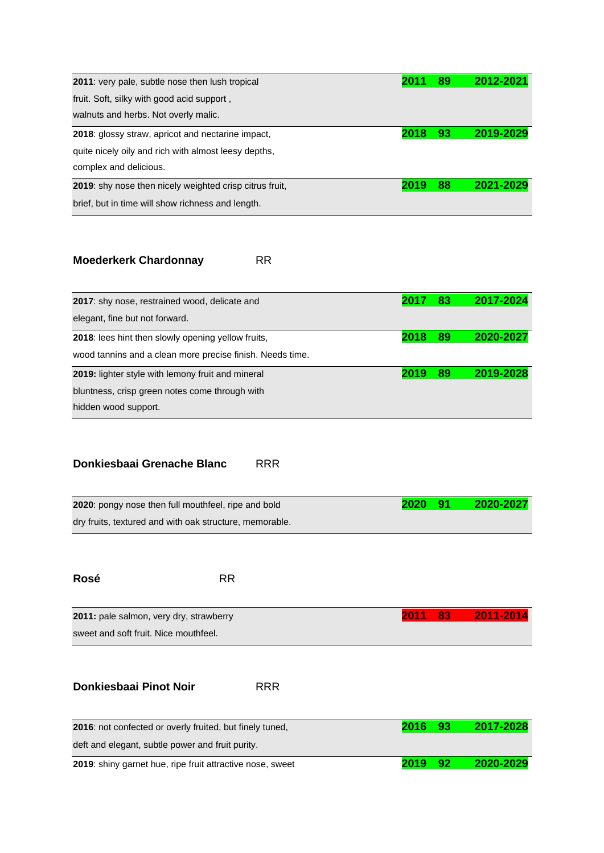| 2011: very pale, subtle nose then lush tropical           |      | 89 | 2012-2021 |
|-----------------------------------------------------------|------|----|-----------|
| fruit. Soft, silky with good acid support,                |      |    |           |
| walnuts and herbs. Not overly malic.                      |      |    |           |
| <b>2018</b> : glossy straw, apricot and nectarine impact, | 2018 | 93 | 2019-2029 |
| quite nicely oily and rich with almost leesy depths,      |      |    |           |
| complex and delicious.                                    |      |    |           |
| 2019: shy nose then nicely weighted crisp citrus fruit,   | 2019 | 88 | 2021-2029 |
| brief, but in time will show richness and length.         |      |    |           |

## **Moederkerk Chardonnay** RR

| 2017: shy nose, restrained wood, delicate and             |      | 83 | 2017-2024 |
|-----------------------------------------------------------|------|----|-----------|
| elegant, fine but not forward.                            |      |    |           |
| 2018: lees hint then slowly opening yellow fruits,        | 2018 | 89 | 2020-2027 |
| wood tannins and a clean more precise finish. Needs time. |      |    |           |
| 2019: lighter style with lemony fruit and mineral         | 2019 | 89 | 2019-2028 |
| bluntness, crisp green notes come through with            |      |    |           |
| hidden wood support.                                      |      |    |           |

## **Donkiesbaai Grenache Blanc** RRR

| <b>2020</b> : pongy nose then full mouthfeel, ripe and bold | 2020 91 | 2020-2027 |
|-------------------------------------------------------------|---------|-----------|
| dry fruits, textured and with oak structure, memorable.     |         |           |

| Rosé                                    | <b>RR</b> |  |                   |
|-----------------------------------------|-----------|--|-------------------|
| 2011: pale salmon, very dry, strawberry |           |  | 2011 83 2011-2014 |
| sweet and soft fruit. Nice mouthfeel.   |           |  |                   |
|                                         |           |  |                   |

**Donkiesbaai Pinot Noir** RRR

| 2016: not confected or overly fruited, but finely tuned,  | 2016 | - 93 | 2017-2028 |
|-----------------------------------------------------------|------|------|-----------|
| deft and elegant, subtle power and fruit purity.          |      |      |           |
| 2019: shiny garnet hue, ripe fruit attractive nose, sweet | 2019 | - 92 | 2020-2029 |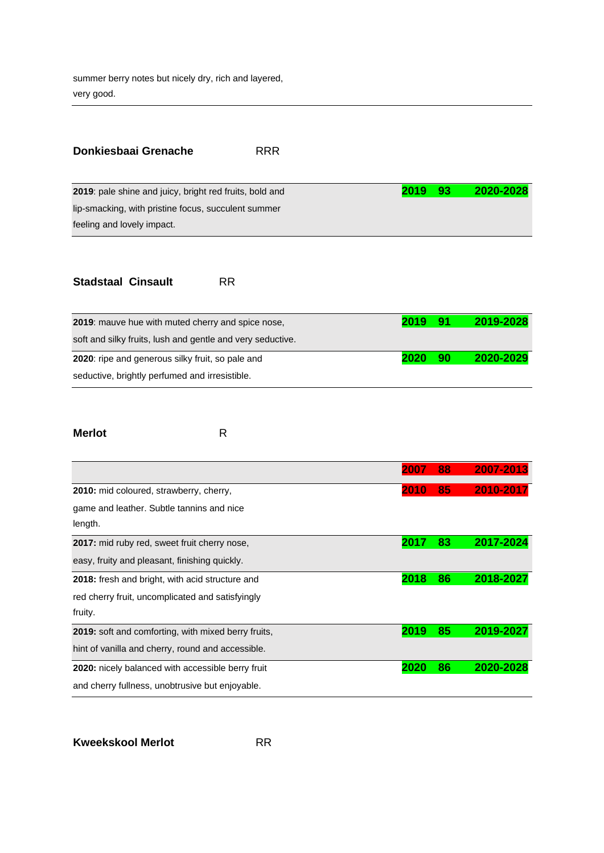summer berry notes but nicely dry, rich and layered, very good.

| Donkiesbaai Grenache                                    | <b>RRR</b> |      |       |           |
|---------------------------------------------------------|------------|------|-------|-----------|
| 2019: pale shine and juicy, bright red fruits, bold and |            | 2019 | $-93$ | 2020-2028 |
| lip-smacking, with pristine focus, succulent summer     |            |      |       |           |
| feeling and lovely impact.                              |            |      |       |           |
|                                                         |            |      |       |           |

#### **Stadstaal Cinsault** RR

| <b>2019</b> : mauve hue with muted cherry and spice nose,  | 2019 | -91 | 2019-2028 |
|------------------------------------------------------------|------|-----|-----------|
| soft and silky fruits, lush and gentle and very seductive. |      |     |           |
| 2020: ripe and generous silky fruit, so pale and           | 2020 | 90  | 2020-2029 |
| seductive, brightly perfumed and irresistible.             |      |     |           |

### **Merlot** R

|                                                            | 2007 | 88 | 2007-2013 |
|------------------------------------------------------------|------|----|-----------|
| 2010: mid coloured, strawberry, cherry,                    | 2010 | 85 | 2010-2017 |
| game and leather. Subtle tannins and nice                  |      |    |           |
| length.                                                    |      |    |           |
| 2017: mid ruby red, sweet fruit cherry nose,               | 201  | 83 | 2017-2024 |
| easy, fruity and pleasant, finishing quickly.              |      |    |           |
| 2018: fresh and bright, with acid structure and            | 2018 | 86 | 2018-2027 |
| red cherry fruit, uncomplicated and satisfyingly           |      |    |           |
| fruity.                                                    |      |    |           |
| <b>2019:</b> soft and comforting, with mixed berry fruits, | 2019 | 85 | 2019-2027 |
| hint of vanilla and cherry, round and accessible.          |      |    |           |
| 2020: nicely balanced with accessible berry fruit          | 2020 | 86 | 2020-2028 |
| and cherry fullness, unobtrusive but enjoyable.            |      |    |           |

**Kweekskool Merlot RR**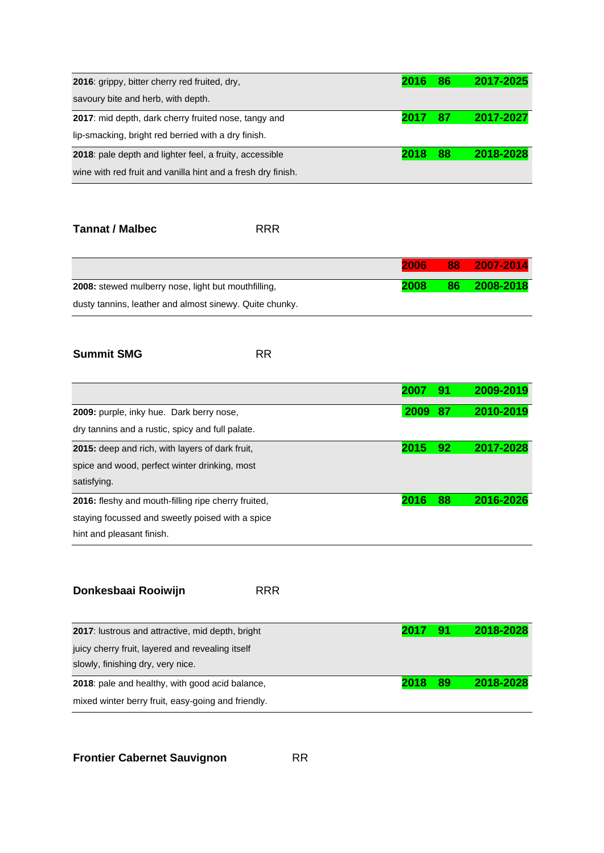| 2016: grippy, bitter cherry red fruited, dry,                | 2016 | 86 | 2017-2025 |
|--------------------------------------------------------------|------|----|-----------|
| savoury bite and herb, with depth.                           |      |    |           |
| 2017: mid depth, dark cherry fruited nose, tangy and         | 2017 | 87 | 2017-2027 |
| lip-smacking, bright red berried with a dry finish.          |      |    |           |
| 2018: pale depth and lighter feel, a fruity, accessible      | 2018 | 88 | 2018-2028 |
| wine with red fruit and vanilla hint and a fresh dry finish. |      |    |           |

### **Tannat / Malbec** RRR

|                                                            | 2006 | 88 | $-2007 - 2014$ |
|------------------------------------------------------------|------|----|----------------|
| <b>2008:</b> stewed mulberry nose, light but mouthfilling, | 2008 | 86 | 2008-2018      |
| dusty tannins, leather and almost sinewy. Quite chunky.    |      |    |                |

### **Summit SMG** RR

|                                                            | 2007 | 91 | 2009-2019 |
|------------------------------------------------------------|------|----|-----------|
| 2009: purple, inky hue. Dark berry nose,                   | 2009 | 87 | 2010-2019 |
| dry tannins and a rustic, spicy and full palate.           |      |    |           |
| <b>2015:</b> deep and rich, with layers of dark fruit,     | 2015 | 92 | 2017-2028 |
| spice and wood, perfect winter drinking, most              |      |    |           |
| satisfying.                                                |      |    |           |
| <b>2016:</b> fleshy and mouth-filling ripe cherry fruited. | 2016 | 88 | 2016-2026 |
| staying focussed and sweetly poised with a spice           |      |    |           |
| hint and pleasant finish.                                  |      |    |           |

## **Donkesbaai Rooiwijn** RRR

| <b>2017:</b> lustrous and attractive, mid depth, bright | 2017 | -91 | 2018-2028 |
|---------------------------------------------------------|------|-----|-----------|
| juicy cherry fruit, layered and revealing itself        |      |     |           |
| slowly, finishing dry, very nice.                       |      |     |           |
| 2018: pale and healthy, with good acid balance,         | 2018 | 89  | 2018-2028 |
| mixed winter berry fruit, easy-going and friendly.      |      |     |           |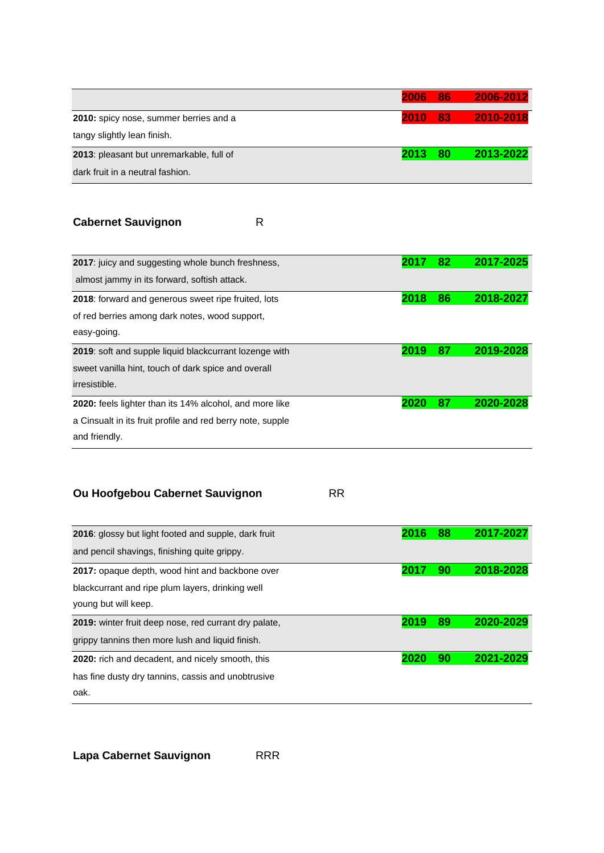|                                          | 2006 | 86 | 2006-2012 |
|------------------------------------------|------|----|-----------|
| 2010: spicy nose, summer berries and a   | 2010 | 83 | 2010-2018 |
| tangy slightly lean finish.              |      |    |           |
| 2013: pleasant but unremarkable, full of | 2013 | 80 | 2013-2022 |
| dark fruit in a neutral fashion.         |      |    |           |

# **Cabernet Sauvignon** R

| 2017: juicy and suggesting whole bunch freshness,          | 201  | 82 | 2017-2025 |
|------------------------------------------------------------|------|----|-----------|
| almost jammy in its forward, softish attack.               |      |    |           |
| <b>2018:</b> forward and generous sweet ripe fruited, lots | 2018 | 86 | 2018-2027 |
| of red berries among dark notes, wood support,             |      |    |           |
| easy-going.                                                |      |    |           |
| 2019: soft and supple liquid blackcurrant lozenge with     | 2019 | 87 | 2019-2028 |
| sweet vanilla hint, touch of dark spice and overall        |      |    |           |
| <i>irresistible.</i>                                       |      |    |           |
| 2020: feels lighter than its 14% alcohol, and more like    | 2020 | 87 | 2020-2028 |
| a Cinsualt in its fruit profile and red berry note, supple |      |    |           |
| and friendly.                                              |      |    |           |

# **Ou Hoofgebou Cabernet Sauvignon** RR

| 2016: glossy but light footed and supple, dark fruit         |      | 88 | 2017-2027 |
|--------------------------------------------------------------|------|----|-----------|
| and pencil shavings, finishing quite grippy.                 |      |    |           |
| 2017: opaque depth, wood hint and backbone over              | 2017 | 90 | 2018-2028 |
| blackcurrant and ripe plum layers, drinking well             |      |    |           |
| young but will keep.                                         |      |    |           |
| <b>2019:</b> winter fruit deep nose, red currant dry palate, | 2019 | 89 | 2020-2029 |
| grippy tannins then more lush and liquid finish.             |      |    |           |
| <b>2020:</b> rich and decadent, and nicely smooth, this      |      | 90 | 2021-2029 |
| has fine dusty dry tannins, cassis and unobtrusive           |      |    |           |
| oak.                                                         |      |    |           |

**Lapa Cabernet Sauvignon** RRR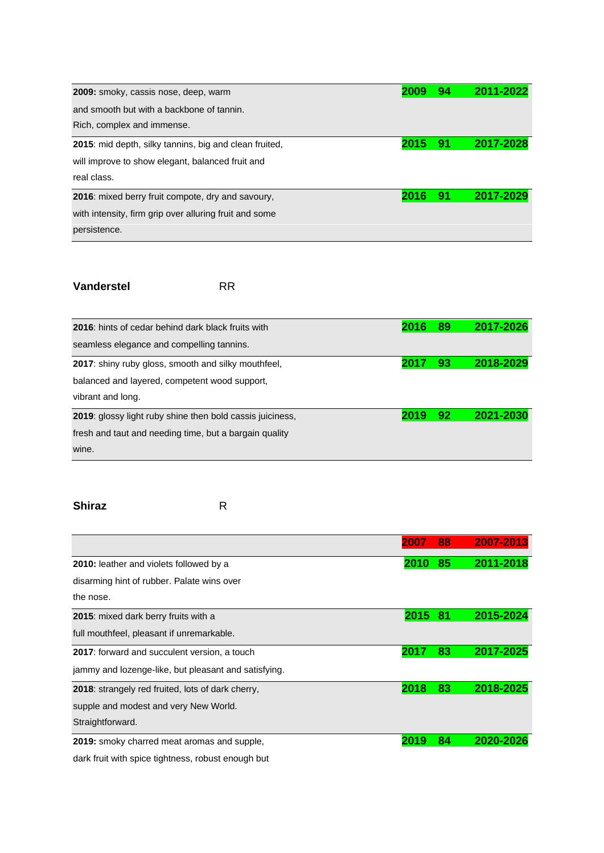| 2009: smoky, cassis nose, deep, warm                      | 2009 | 94 | 2011-2022 |
|-----------------------------------------------------------|------|----|-----------|
| and smooth but with a backbone of tannin.                 |      |    |           |
| Rich, complex and immense.                                |      |    |           |
| 2015: mid depth, silky tannins, big and clean fruited,    | 2015 | 91 | 2017-2028 |
| will improve to show elegant, balanced fruit and          |      |    |           |
| real class.                                               |      |    |           |
| <b>2016</b> : mixed berry fruit compote, dry and savoury, | 2016 | 91 | 2017-2029 |
| with intensity, firm grip over alluring fruit and some    |      |    |           |
| persistence.                                              |      |    |           |

#### **Vanderstel** RR

| 2016: hints of cedar behind dark black fruits with         | 2016 | 89 | 2017-2026 |
|------------------------------------------------------------|------|----|-----------|
| seamless elegance and compelling tannins.                  |      |    |           |
| <b>2017:</b> shiny ruby gloss, smooth and silky mouthfeel, | 2017 | 93 | 2018-2029 |
| balanced and layered, competent wood support,              |      |    |           |
| vibrant and long.                                          |      |    |           |
| 2019: glossy light ruby shine then bold cassis juiciness,  | 2019 | 92 | 2021-2030 |
| fresh and taut and needing time, but a bargain quality     |      |    |           |
| wine.                                                      |      |    |           |
|                                                            |      |    |           |

### **Shiraz** R

|                                                      | 2007 | 88  | 2007-2013 |
|------------------------------------------------------|------|-----|-----------|
| <b>2010:</b> leather and violets followed by a       | 2010 | 85  | 2011-2018 |
| disarming hint of rubber. Palate wins over           |      |     |           |
| the nose.                                            |      |     |           |
| 2015: mixed dark berry fruits with a                 | 2015 | -81 | 2015-2024 |
| full mouthfeel, pleasant if unremarkable.            |      |     |           |
| <b>2017:</b> forward and succulent version, a touch  | 201  | 83  | 2017-2025 |
| jammy and lozenge-like, but pleasant and satisfying. |      |     |           |
| 2018: strangely red fruited, lots of dark cherry,    | 2018 | 83  | 2018-2025 |
| supple and modest and very New World.                |      |     |           |
| Straightforward.                                     |      |     |           |
| 2019: smoky charred meat aromas and supple,          | 2019 | 84  | 2020-2026 |

dark fruit with spice tightness, robust enough but